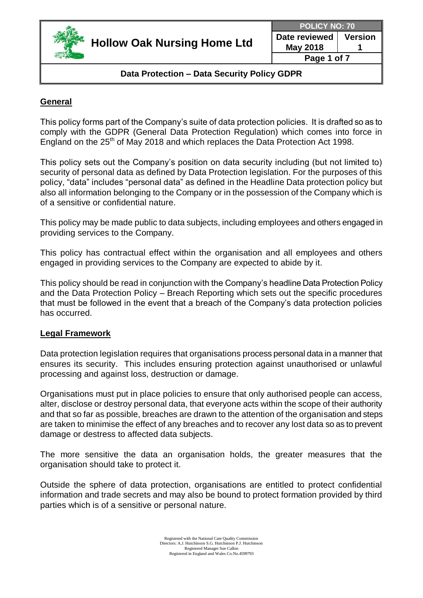

**Date reviewed May 2018 Version 1**

**Page 1 of 7**

#### **Data Protection – Data Security Policy GDPR**

# **General**

This policy forms part of the Company's suite of data protection policies. It is drafted so as to comply with the GDPR (General Data Protection Regulation) which comes into force in England on the 25<sup>th</sup> of May 2018 and which replaces the Data Protection Act 1998.

This policy sets out the Company's position on data security including (but not limited to) security of personal data as defined by Data Protection legislation. For the purposes of this policy, "data" includes "personal data" as defined in the Headline Data protection policy but also all information belonging to the Company or in the possession of the Company which is of a sensitive or confidential nature.

This policy may be made public to data subjects, including employees and others engaged in providing services to the Company.

This policy has contractual effect within the organisation and all employees and others engaged in providing services to the Company are expected to abide by it.

This policy should be read in conjunction with the Company's headline Data Protection Policy and the Data Protection Policy – Breach Reporting which sets out the specific procedures that must be followed in the event that a breach of the Company's data protection policies has occurred.

#### **Legal Framework**

Data protection legislation requires that organisations process personal data in a manner that ensures its security. This includes ensuring protection against unauthorised or unlawful processing and against loss, destruction or damage.

Organisations must put in place policies to ensure that only authorised people can access, alter, disclose or destroy personal data, that everyone acts within the scope of their authority and that so far as possible, breaches are drawn to the attention of the organisation and steps are taken to minimise the effect of any breaches and to recover any lost data so as to prevent damage or destress to affected data subjects.

The more sensitive the data an organisation holds, the greater measures that the organisation should take to protect it.

Outside the sphere of data protection, organisations are entitled to protect confidential information and trade secrets and may also be bound to protect formation provided by third parties which is of a sensitive or personal nature.

> Registered with the National Care Quality Commission Directors: A.J. Hutchinson S.G. Hutchinson P.J. Hutchinson Registered Manager Sue Callon Registered in England and Wales Co.No.4599793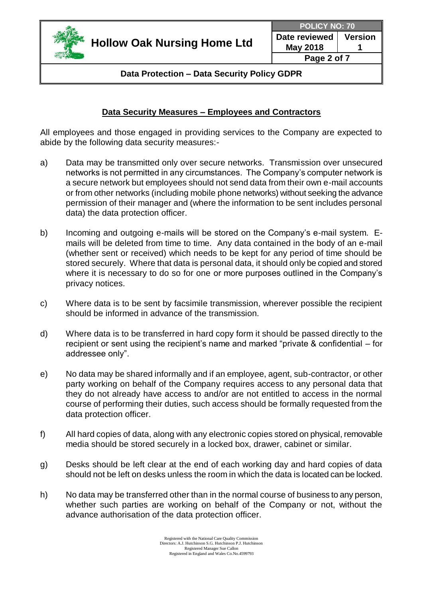

**Date reviewed May 2018 Version 1**

**Page 2 of 7**

# **Data Protection – Data Security Policy GDPR**

# **Data Security Measures – Employees and Contractors**

All employees and those engaged in providing services to the Company are expected to abide by the following data security measures:-

- a) Data may be transmitted only over secure networks. Transmission over unsecured networks is not permitted in any circumstances. The Company's computer network is a secure network but employees should not send data from their own e-mail accounts or from other networks (including mobile phone networks) without seeking the advance permission of their manager and (where the information to be sent includes personal data) the data protection officer.
- b) Incoming and outgoing e-mails will be stored on the Company's e-mail system. Emails will be deleted from time to time. Any data contained in the body of an e-mail (whether sent or received) which needs to be kept for any period of time should be stored securely. Where that data is personal data, it should only be copied and stored where it is necessary to do so for one or more purposes outlined in the Company's privacy notices.
- c) Where data is to be sent by facsimile transmission, wherever possible the recipient should be informed in advance of the transmission.
- d) Where data is to be transferred in hard copy form it should be passed directly to the recipient or sent using the recipient's name and marked "private & confidential – for addressee only".
- e) No data may be shared informally and if an employee, agent, sub-contractor, or other party working on behalf of the Company requires access to any personal data that they do not already have access to and/or are not entitled to access in the normal course of performing their duties, such access should be formally requested from the data protection officer.
- f) All hard copies of data, along with any electronic copies stored on physical, removable media should be stored securely in a locked box, drawer, cabinet or similar.
- g) Desks should be left clear at the end of each working day and hard copies of data should not be left on desks unless the room in which the data is located can be locked.
- h) No data may be transferred other than in the normal course of business to any person, whether such parties are working on behalf of the Company or not, without the advance authorisation of the data protection officer.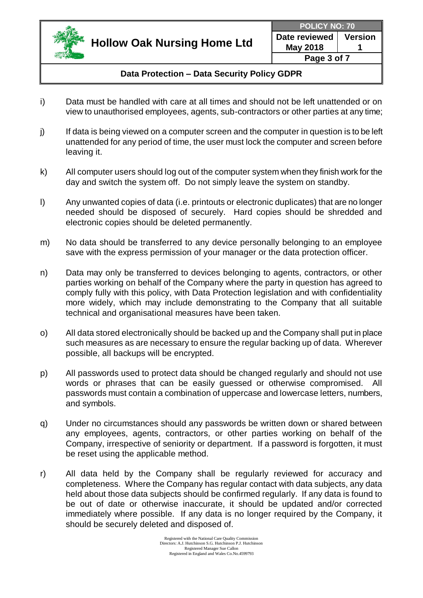

**Date reviewed May 2018 Version 1**

**Page 3 of 7**

## **Data Protection – Data Security Policy GDPR**

- i) Data must be handled with care at all times and should not be left unattended or on view to unauthorised employees, agents, sub-contractors or other parties at any time;
- j) If data is being viewed on a computer screen and the computer in question is to be left unattended for any period of time, the user must lock the computer and screen before leaving it.
- k) All computer users should log out of the computer system when they finish work for the day and switch the system off. Do not simply leave the system on standby.
- l) Any unwanted copies of data (i.e. printouts or electronic duplicates) that are no longer needed should be disposed of securely. Hard copies should be shredded and electronic copies should be deleted permanently.
- m) No data should be transferred to any device personally belonging to an employee save with the express permission of your manager or the data protection officer.
- n) Data may only be transferred to devices belonging to agents, contractors, or other parties working on behalf of the Company where the party in question has agreed to comply fully with this policy, with Data Protection legislation and with confidentiality more widely, which may include demonstrating to the Company that all suitable technical and organisational measures have been taken.
- o) All data stored electronically should be backed up and the Company shall put in place such measures as are necessary to ensure the regular backing up of data. Wherever possible, all backups will be encrypted.
- p) All passwords used to protect data should be changed regularly and should not use words or phrases that can be easily guessed or otherwise compromised. All passwords must contain a combination of uppercase and lowercase letters, numbers, and symbols.
- q) Under no circumstances should any passwords be written down or shared between any employees, agents, contractors, or other parties working on behalf of the Company, irrespective of seniority or department. If a password is forgotten, it must be reset using the applicable method.
- r) All data held by the Company shall be regularly reviewed for accuracy and completeness. Where the Company has regular contact with data subjects, any data held about those data subjects should be confirmed regularly. If any data is found to be out of date or otherwise inaccurate, it should be updated and/or corrected immediately where possible. If any data is no longer required by the Company, it should be securely deleted and disposed of.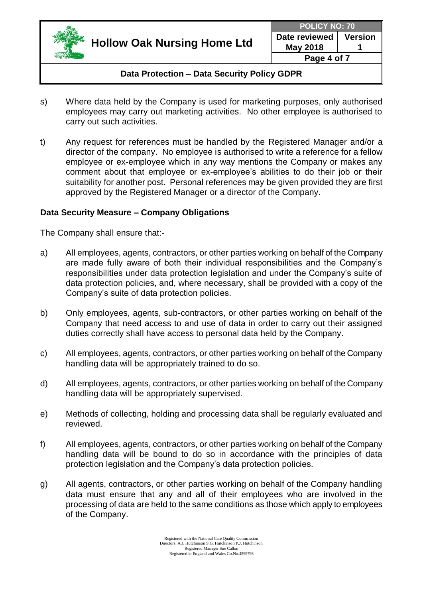

**Date reviewed May 2018 Version 1**

**Page 4 of 7**

# **Data Protection – Data Security Policy GDPR**

- s) Where data held by the Company is used for marketing purposes, only authorised employees may carry out marketing activities. No other employee is authorised to carry out such activities.
- t) Any request for references must be handled by the Registered Manager and/or a director of the company. No employee is authorised to write a reference for a fellow employee or ex-employee which in any way mentions the Company or makes any comment about that employee or ex-employee's abilities to do their job or their suitability for another post. Personal references may be given provided they are first approved by the Registered Manager or a director of the Company.

#### **Data Security Measure – Company Obligations**

The Company shall ensure that:-

- a) All employees, agents, contractors, or other parties working on behalf of the Company are made fully aware of both their individual responsibilities and the Company's responsibilities under data protection legislation and under the Company's suite of data protection policies, and, where necessary, shall be provided with a copy of the Company's suite of data protection policies.
- b) Only employees, agents, sub-contractors, or other parties working on behalf of the Company that need access to and use of data in order to carry out their assigned duties correctly shall have access to personal data held by the Company.
- c) All employees, agents, contractors, or other parties working on behalf of the Company handling data will be appropriately trained to do so.
- d) All employees, agents, contractors, or other parties working on behalf of the Company handling data will be appropriately supervised.
- e) Methods of collecting, holding and processing data shall be regularly evaluated and reviewed.
- f) All employees, agents, contractors, or other parties working on behalf of the Company handling data will be bound to do so in accordance with the principles of data protection legislation and the Company's data protection policies.
- g) All agents, contractors, or other parties working on behalf of the Company handling data must ensure that any and all of their employees who are involved in the processing of data are held to the same conditions as those which apply to employees of the Company.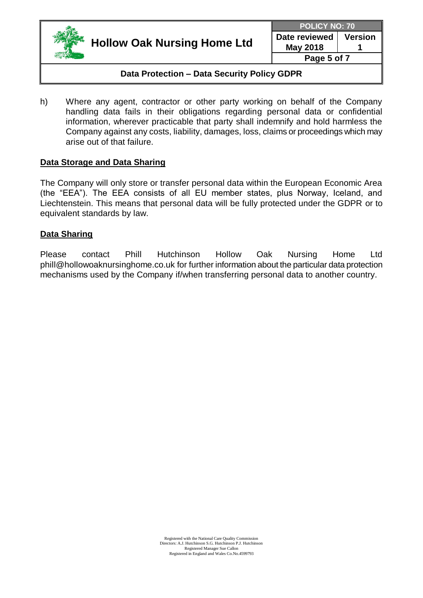

**Date reviewed May 2018 Version 1**

**Page 5 of 7**

# **Data Protection – Data Security Policy GDPR**

h) Where any agent, contractor or other party working on behalf of the Company handling data fails in their obligations regarding personal data or confidential information, wherever practicable that party shall indemnify and hold harmless the Company against any costs, liability, damages, loss, claims or proceedings which may arise out of that failure.

# **Data Storage and Data Sharing**

The Company will only store or transfer personal data within the European Economic Area (the "EEA"). The EEA consists of all EU member states, plus Norway, Iceland, and Liechtenstein. This means that personal data will be fully protected under the GDPR or to equivalent standards by law.

#### **Data Sharing**

Please contact Phill Hutchinson Hollow Oak Nursing Home Ltd phill@hollowoaknursinghome.co.uk for further information about the particular data protection mechanisms used by the Company if/when transferring personal data to another country.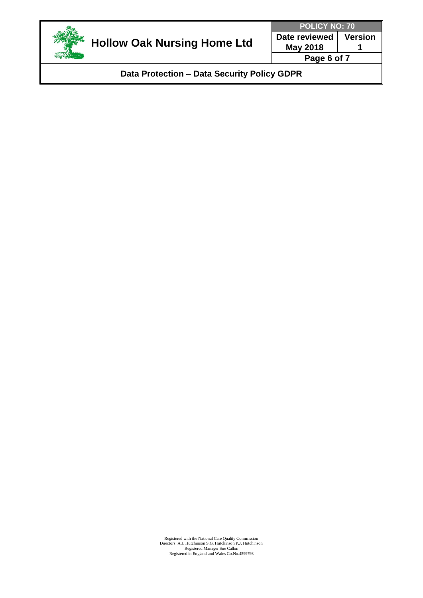

|  | <b>POLICY NO: 70</b> |  |
|--|----------------------|--|
|  |                      |  |

**Date reviewed May 2018 Version 1 Page 6 of 7**

**Data Protection – Data Security Policy GDPR**

Registered with the National Care Quality Commission<br>
Registered Manager Sue Callon<br>
Registered Manager Sue Callon<br>
Registered in England and Wales Co.No.4599793